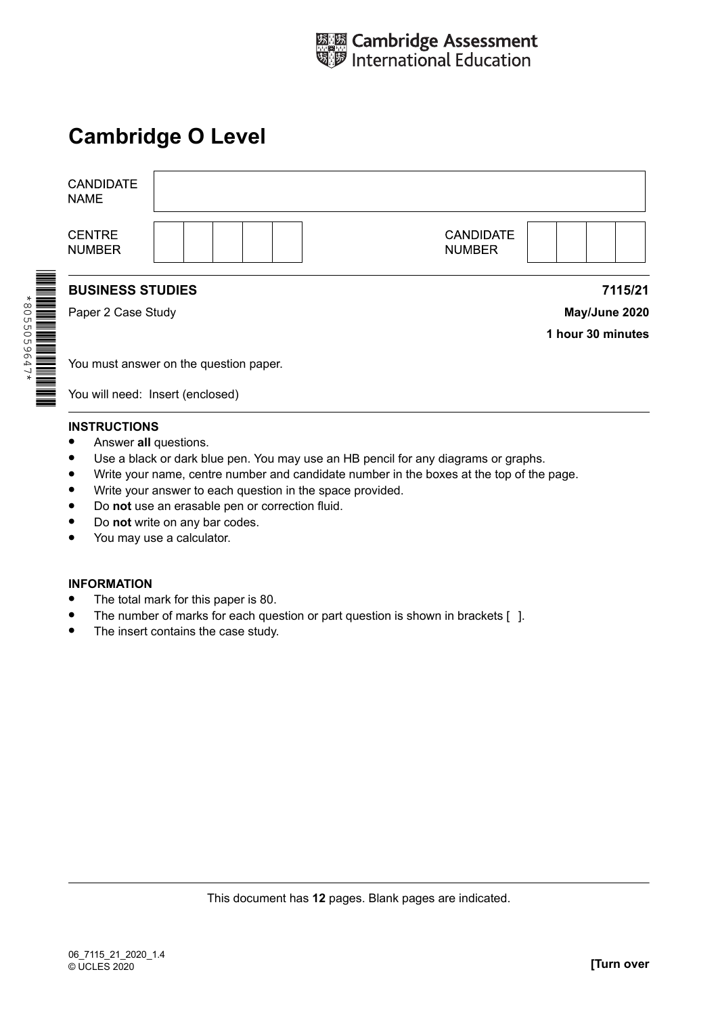

# **Cambridge O Level**

| <b>CANDIDATE</b><br><b>NAME</b> |                                        |                                   |
|---------------------------------|----------------------------------------|-----------------------------------|
| <b>CENTRE</b><br><b>NUMBER</b>  |                                        | <b>CANDIDATE</b><br><b>NUMBER</b> |
| <b>BUSINESS STUDIES</b>         |                                        | 7115/21                           |
| Paper 2 Case Study              |                                        | May/June 2020                     |
|                                 |                                        | 1 hour 30 minutes                 |
|                                 | You must answer on the question paper. |                                   |

You will need: Insert (enclosed)

#### **INSTRUCTIONS**

- **•** Answer **all** questions.
- **•** Use a black or dark blue pen. You may use an HB pencil for any diagrams or graphs.
- **•** Write your name, centre number and candidate number in the boxes at the top of the page.
- **•** Write your answer to each question in the space provided.
- **•** Do **not** use an erasable pen or correction fluid.
- **•** Do **not** write on any bar codes.<br>• You may use a calculator
- **•** You may use a calculator.

#### **INFORMATION**

- **•** The total mark for this paper is 80.
- The number of marks for each question or part question is shown in brackets [ ].<br>• The insert contains the case study
- **•** The insert contains the case study.

This document has **12** pages. Blank pages are indicated.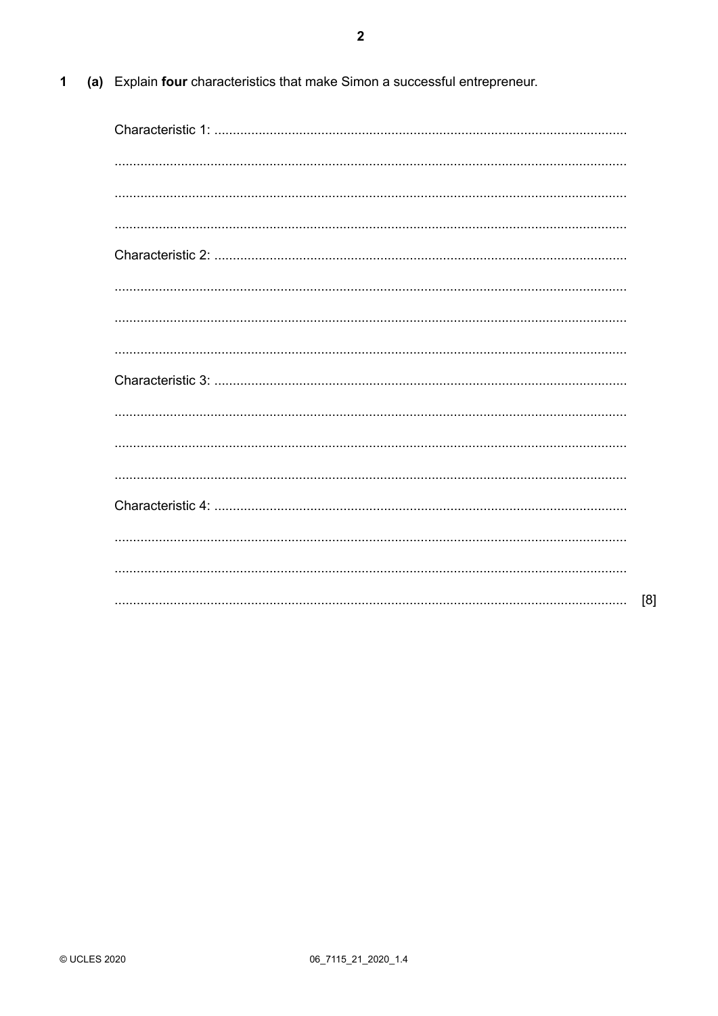(a) Explain four characteristics that make Simon a successful entrepreneur.  $\mathbf 1$ 

| [8] |
|-----|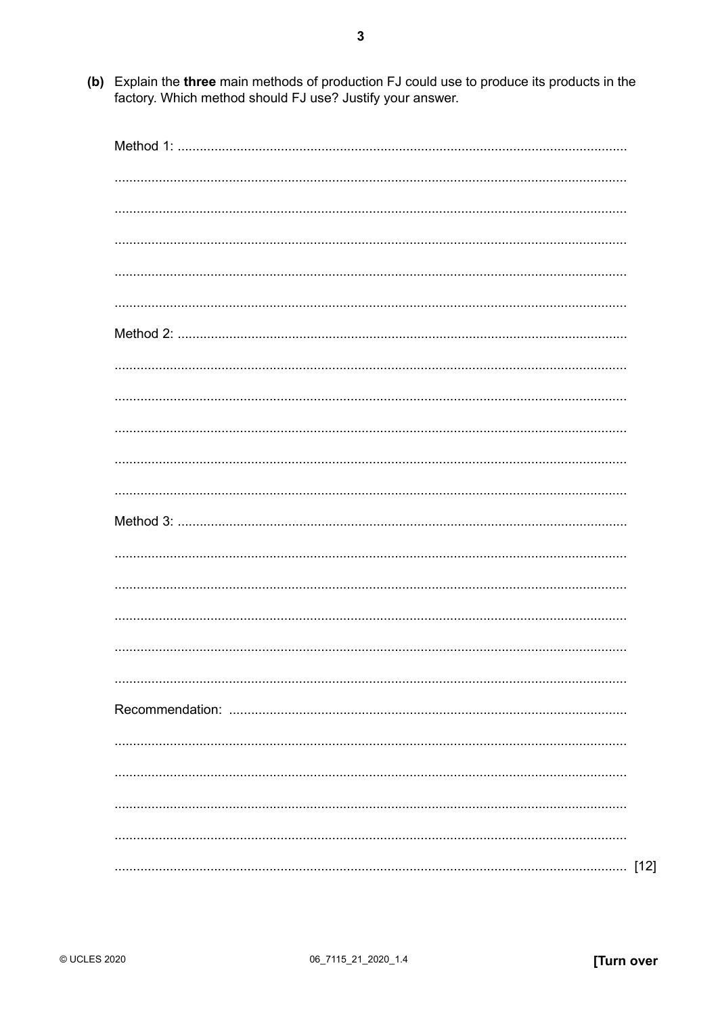(b) Explain the three main methods of production FJ could use to produce its products in the factory. Which method should FJ use? Justify your answer.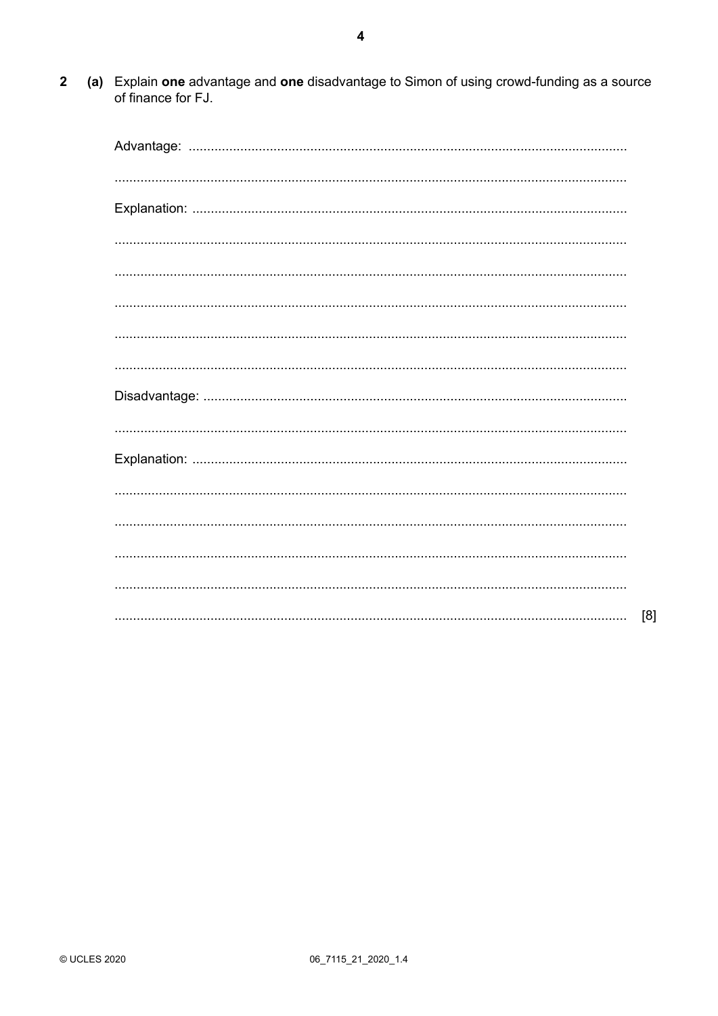(a) Explain one advantage and one disadvantage to Simon of using crowd-funding as a source of finance for FJ.  $\overline{\mathbf{2}}$ 

| [8] |
|-----|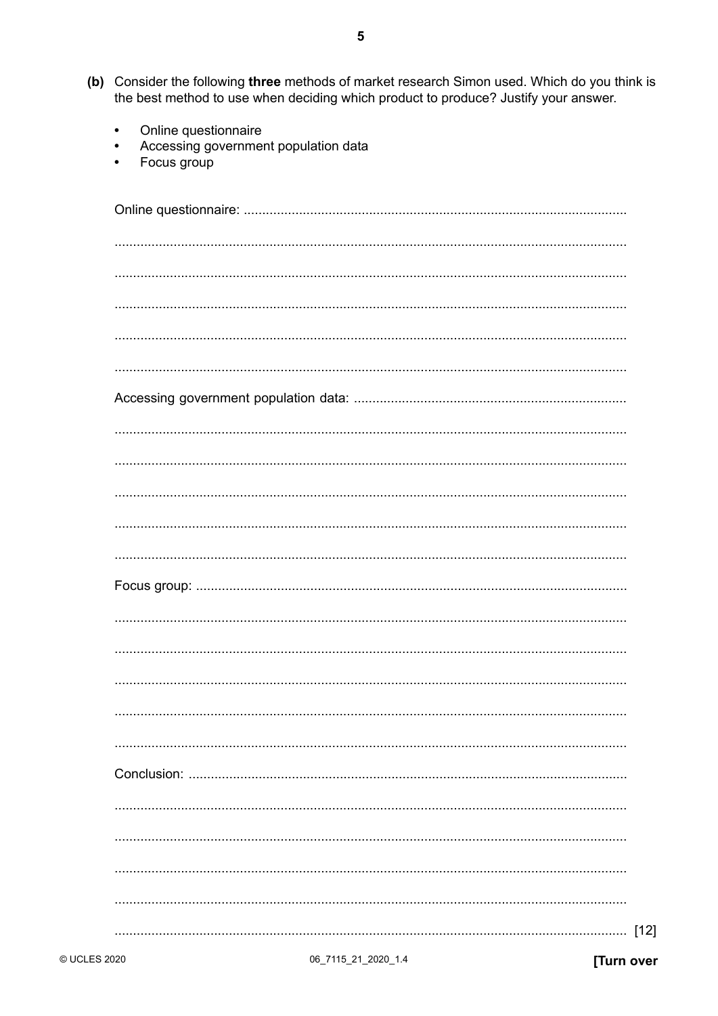- (b) Consider the following three methods of market research Simon used. Which do you think is the best method to use when deciding which product to produce? Justify your answer.
	- $\bullet$ Online questionnaire
	- Accessing government population data  $\bullet$
	- Focus group  $\bullet$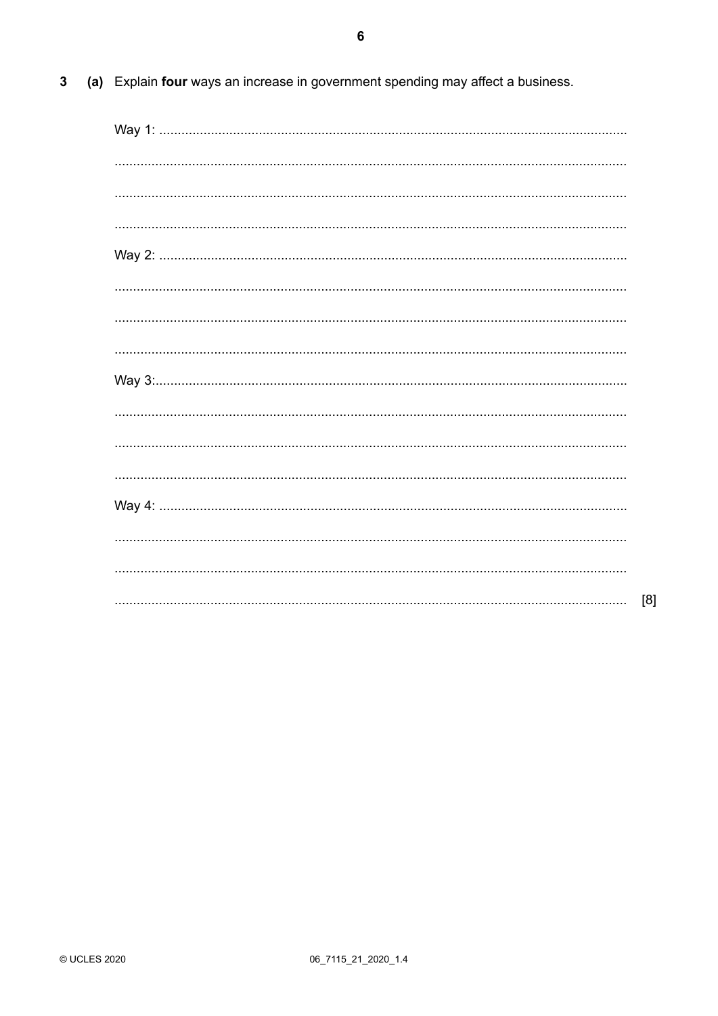(a) Explain four ways an increase in government spending may affect a business.  $\overline{\mathbf{3}}$ 

| [8] |
|-----|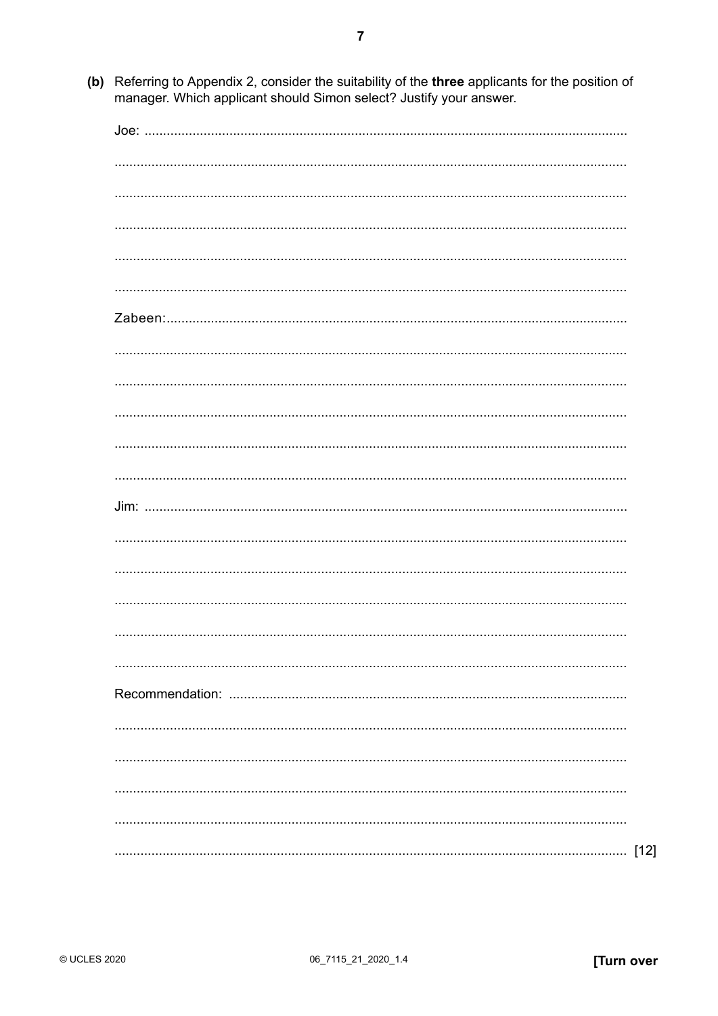(b) Referring to Appendix 2, consider the suitability of the three applicants for the position of manager. Which applicant should Simon select? Justify your answer.

| Joe: |  |
|------|--|
|      |  |
|      |  |
|      |  |
|      |  |
|      |  |
|      |  |
|      |  |
|      |  |
|      |  |
|      |  |
|      |  |
|      |  |
|      |  |
|      |  |
|      |  |
|      |  |
|      |  |
|      |  |
|      |  |
|      |  |
|      |  |
|      |  |
|      |  |
|      |  |
|      |  |
|      |  |
|      |  |
|      |  |
|      |  |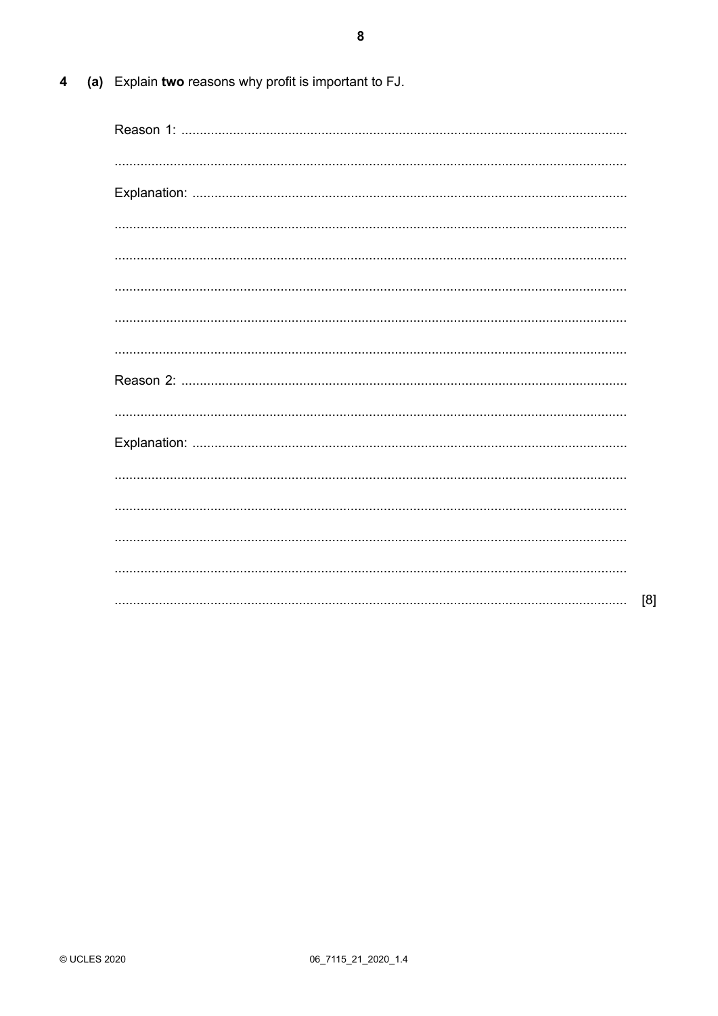$\bf{8}$ 

| $\overline{4}$ |  | (a) Explain two reasons why profit is important to FJ. |  |  |  |  |  |  |
|----------------|--|--------------------------------------------------------|--|--|--|--|--|--|
|----------------|--|--------------------------------------------------------|--|--|--|--|--|--|

| [8] |
|-----|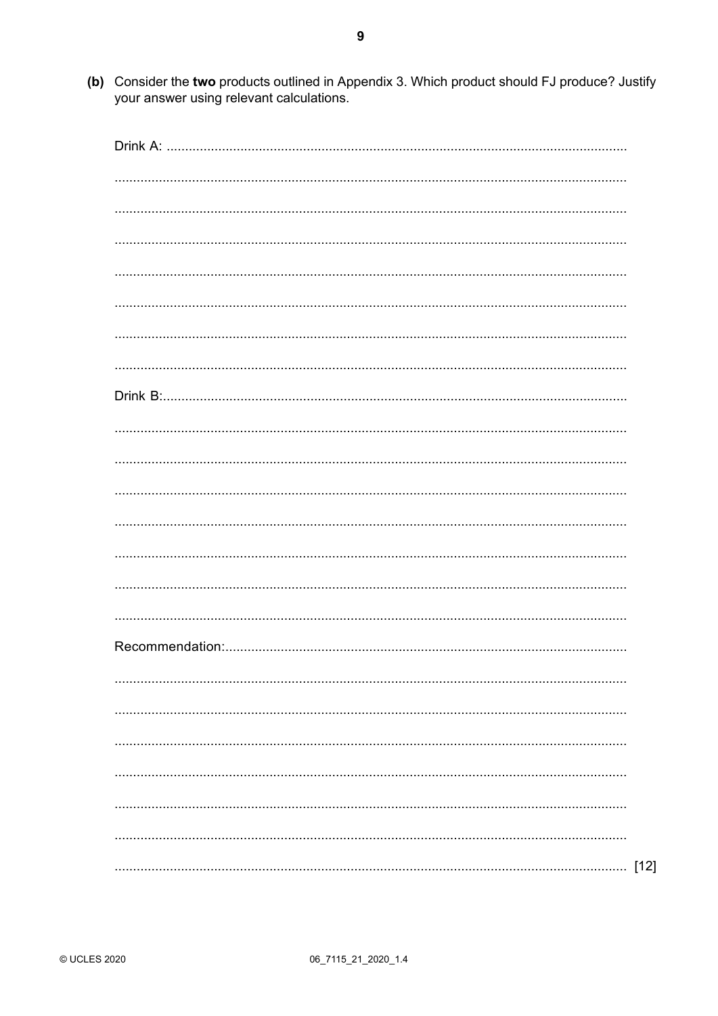(b) Consider the two products outlined in Appendix 3. Which product should FJ produce? Justify your answer using relevant calculations.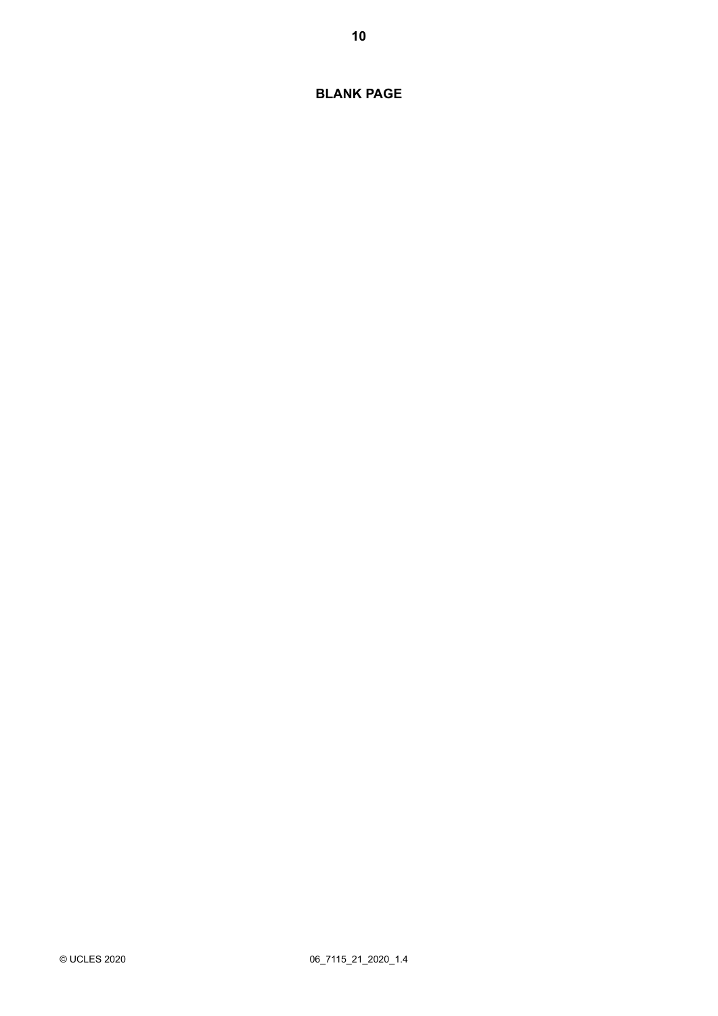## **BLANK PAGE**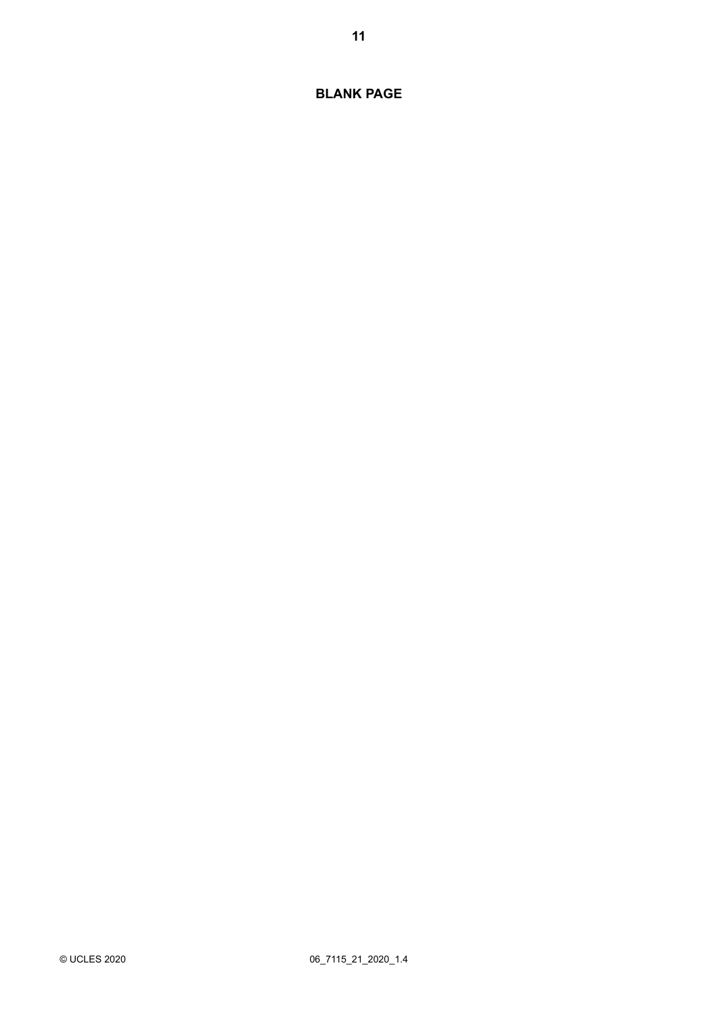## **BLANK PAGE**